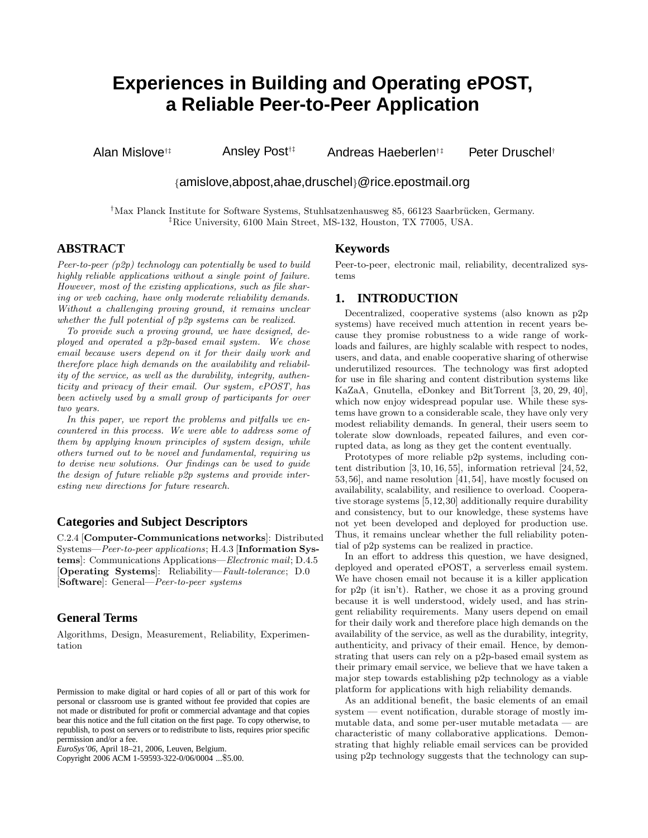# **Experiences in Building and Operating ePOST, a Reliable Peer-to-Peer Application**

Alan Mislove†‡ Ansley Post†‡ Andreas Haeberlen†‡ Peter Druschel†

# {amislove,abpost,ahae,druschel}@rice.epostmail.org

<sup>†</sup>Max Planck Institute for Software Systems, Stuhlsatzenhausweg 85, 66123 Saarbrücken, Germany. ‡Rice University, 6100 Main Street, MS-132, Houston, TX 77005, USA.

## **ABSTRACT**

Peer-to-peer  $(p2p)$  technology can potentially be used to build highly reliable applications without a single point of failure. However, most of the existing applications, such as file sharing or web caching, have only moderate reliability demands. Without a challenging proving ground, it remains unclear whether the full potential of p2p systems can be realized.

To provide such a proving ground, we have designed, deployed and operated a p2p-based email system. We chose email because users depend on it for their daily work and therefore place high demands on the availability and reliability of the service, as well as the durability, integrity, authenticity and privacy of their email. Our system, ePOST, has been actively used by a small group of participants for over two years.

In this paper, we report the problems and pitfalls we encountered in this process. We were able to address some of them by applying known principles of system design, while others turned out to be novel and fundamental, requiring us to devise new solutions. Our findings can be used to guide the design of future reliable p2p systems and provide interesting new directions for future research.

## **Categories and Subject Descriptors**

C.2.4 [Computer-Communications networks]: Distributed Systems—Peer-to-peer applications; H.4.3 [Information Systems]: Communications Applications—Electronic mail; D.4.5 [Operating Systems]: Reliability—Fault-tolerance; D.0 [Software]: General—Peer-to-peer systems

## **General Terms**

Algorithms, Design, Measurement, Reliability, Experimentation

Copyright 2006 ACM 1-59593-322-0/06/0004 ...\$5.00.

#### **Keywords**

Peer-to-peer, electronic mail, reliability, decentralized systems

## **1. INTRODUCTION**

Decentralized, cooperative systems (also known as p2p systems) have received much attention in recent years because they promise robustness to a wide range of workloads and failures, are highly scalable with respect to nodes, users, and data, and enable cooperative sharing of otherwise underutilized resources. The technology was first adopted for use in file sharing and content distribution systems like KaZaA, Gnutella, eDonkey and BitTorrent [3, 20, 29, 40], which now enjoy widespread popular use. While these systems have grown to a considerable scale, they have only very modest reliability demands. In general, their users seem to tolerate slow downloads, repeated failures, and even corrupted data, as long as they get the content eventually.

Prototypes of more reliable p2p systems, including content distribution [3, 10, 16, 55], information retrieval [24, 52, 53,56], and name resolution [41,54], have mostly focused on availability, scalability, and resilience to overload. Cooperative storage systems [5,12,30] additionally require durability and consistency, but to our knowledge, these systems have not yet been developed and deployed for production use. Thus, it remains unclear whether the full reliability potential of p2p systems can be realized in practice.

In an effort to address this question, we have designed, deployed and operated ePOST, a serverless email system. We have chosen email not because it is a killer application for p2p (it isn't). Rather, we chose it as a proving ground because it is well understood, widely used, and has stringent reliability requirements. Many users depend on email for their daily work and therefore place high demands on the availability of the service, as well as the durability, integrity, authenticity, and privacy of their email. Hence, by demonstrating that users can rely on a p2p-based email system as their primary email service, we believe that we have taken a major step towards establishing p2p technology as a viable platform for applications with high reliability demands.

As an additional benefit, the basic elements of an email system — event notification, durable storage of mostly immutable data, and some per-user mutable metadata — are characteristic of many collaborative applications. Demonstrating that highly reliable email services can be provided using p2p technology suggests that the technology can sup-

Permission to make digital or hard copies of all or part of this work for personal or classroom use is granted without fee provided that copies are not made or distributed for profit or commercial advantage and that copies bear this notice and the full citation on the first page. To copy otherwise, to republish, to post on servers or to redistribute to lists, requires prior specific permission and/or a fee.

*EuroSys'06,* April 18–21, 2006, Leuven, Belgium.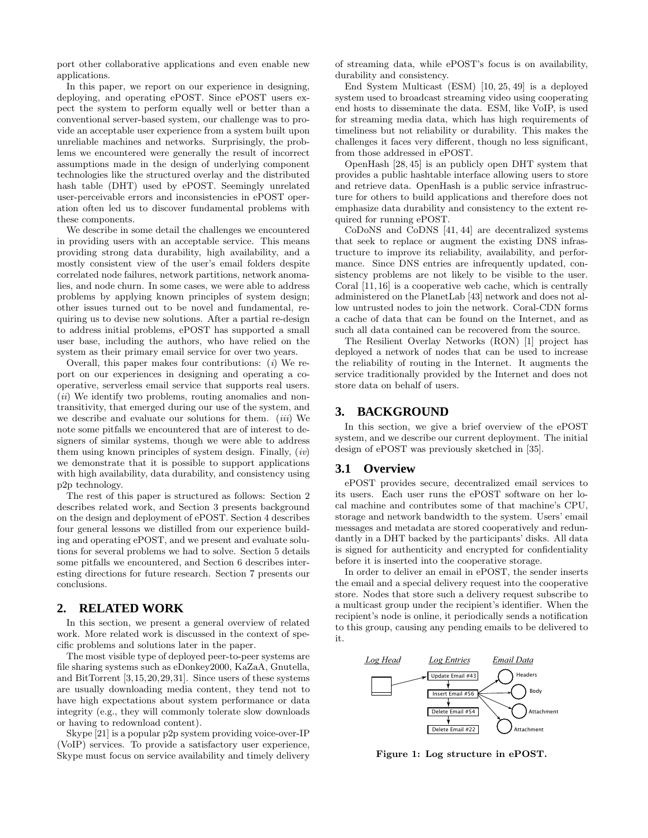port other collaborative applications and even enable new applications.

In this paper, we report on our experience in designing, deploying, and operating ePOST. Since ePOST users expect the system to perform equally well or better than a conventional server-based system, our challenge was to provide an acceptable user experience from a system built upon unreliable machines and networks. Surprisingly, the problems we encountered were generally the result of incorrect assumptions made in the design of underlying component technologies like the structured overlay and the distributed hash table (DHT) used by ePOST. Seemingly unrelated user-perceivable errors and inconsistencies in ePOST operation often led us to discover fundamental problems with these components.

We describe in some detail the challenges we encountered in providing users with an acceptable service. This means providing strong data durability, high availability, and a mostly consistent view of the user's email folders despite correlated node failures, network partitions, network anomalies, and node churn. In some cases, we were able to address problems by applying known principles of system design; other issues turned out to be novel and fundamental, requiring us to devise new solutions. After a partial re-design to address initial problems, ePOST has supported a small user base, including the authors, who have relied on the system as their primary email service for over two years.

Overall, this paper makes four contributions:  $(i)$  We report on our experiences in designing and operating a cooperative, serverless email service that supports real users.  $(ii)$  We identify two problems, routing anomalies and nontransitivity, that emerged during our use of the system, and we describe and evaluate our solutions for them.  $(iii)$  We note some pitfalls we encountered that are of interest to designers of similar systems, though we were able to address them using known principles of system design. Finally,  $(iv)$ we demonstrate that it is possible to support applications with high availability, data durability, and consistency using p2p technology.

The rest of this paper is structured as follows: Section 2 describes related work, and Section 3 presents background on the design and deployment of ePOST. Section 4 describes four general lessons we distilled from our experience building and operating ePOST, and we present and evaluate solutions for several problems we had to solve. Section 5 details some pitfalls we encountered, and Section 6 describes interesting directions for future research. Section 7 presents our conclusions.

#### **2. RELATED WORK**

In this section, we present a general overview of related work. More related work is discussed in the context of specific problems and solutions later in the paper.

The most visible type of deployed peer-to-peer systems are file sharing systems such as eDonkey2000, KaZaA, Gnutella, and BitTorrent [3,15,20,29,31]. Since users of these systems are usually downloading media content, they tend not to have high expectations about system performance or data integrity (e.g., they will commonly tolerate slow downloads or having to redownload content).

Skype [21] is a popular p2p system providing voice-over-IP (VoIP) services. To provide a satisfactory user experience, Skype must focus on service availability and timely delivery of streaming data, while ePOST's focus is on availability, durability and consistency.

End System Multicast (ESM) [10, 25, 49] is a deployed system used to broadcast streaming video using cooperating end hosts to disseminate the data. ESM, like VoIP, is used for streaming media data, which has high requirements of timeliness but not reliability or durability. This makes the challenges it faces very different, though no less significant, from those addressed in ePOST.

OpenHash [28, 45] is an publicly open DHT system that provides a public hashtable interface allowing users to store and retrieve data. OpenHash is a public service infrastructure for others to build applications and therefore does not emphasize data durability and consistency to the extent required for running ePOST.

CoDoNS and CoDNS [41, 44] are decentralized systems that seek to replace or augment the existing DNS infrastructure to improve its reliability, availability, and performance. Since DNS entries are infrequently updated, consistency problems are not likely to be visible to the user. Coral [11, 16] is a cooperative web cache, which is centrally administered on the PlanetLab [43] network and does not allow untrusted nodes to join the network. Coral-CDN forms a cache of data that can be found on the Internet, and as such all data contained can be recovered from the source.

The Resilient Overlay Networks (RON) [1] project has deployed a network of nodes that can be used to increase the reliability of routing in the Internet. It augments the service traditionally provided by the Internet and does not store data on behalf of users.

## **3. BACKGROUND**

In this section, we give a brief overview of the ePOST system, and we describe our current deployment. The initial design of ePOST was previously sketched in [35].

#### **3.1 Overview**

ePOST provides secure, decentralized email services to its users. Each user runs the ePOST software on her local machine and contributes some of that machine's CPU, storage and network bandwidth to the system. Users' email messages and metadata are stored cooperatively and redundantly in a DHT backed by the participants' disks. All data is signed for authenticity and encrypted for confidentiality before it is inserted into the cooperative storage.

In order to deliver an email in ePOST, the sender inserts the email and a special delivery request into the cooperative store. Nodes that store such a delivery request subscribe to a multicast group under the recipient's identifier. When the recipient's node is online, it periodically sends a notification to this group, causing any pending emails to be delivered to it.



Figure 1: Log structure in ePOST.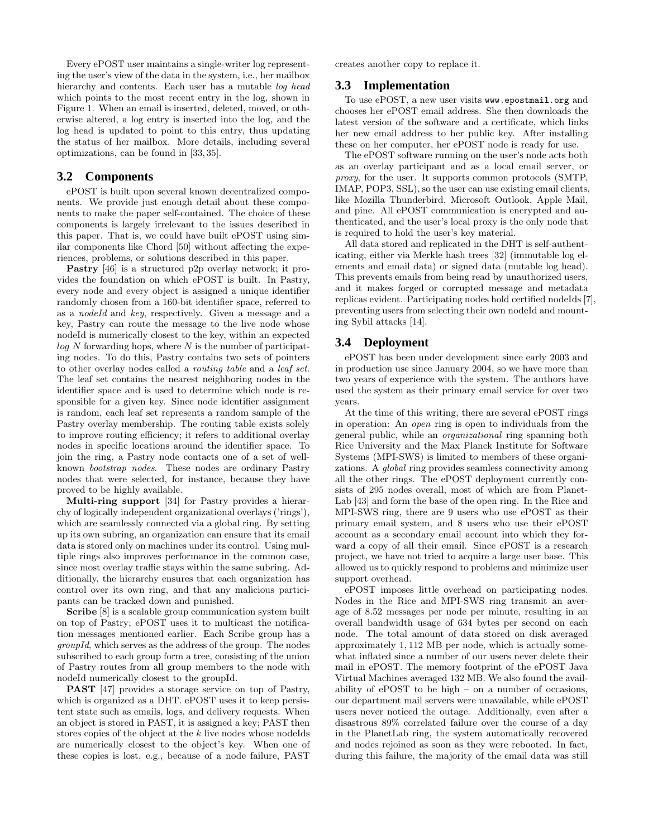Every ePOST user maintains a single-writer log representing the user's view of the data in the system, i.e., her mailbox hierarchy and contents. Each user has a mutable *log head* which points to the most recent entry in the log, shown in Figure 1. When an email is inserted, deleted, moved, or otherwise altered, a log entry is inserted into the log, and the log head is updated to point to this entry, thus updating the status of her mailbox. More details, including several optimizations, can be found in [33, 35].

#### **3.2 Components**

ePOST is built upon several known decentralized components. We provide just enough detail about these components to make the paper self-contained. The choice of these components is largely irrelevant to the issues described in this paper. That is, we could have built ePOST using similar components like Chord [50] without affecting the experiences, problems, or solutions described in this paper.

Pastry [46] is a structured p2p overlay network; it provides the foundation on which ePOST is built. In Pastry, every node and every object is assigned a unique identifier randomly chosen from a 160-bit identifier space, referred to as a nodeId and key, respectively. Given a message and a key, Pastry can route the message to the live node whose nodeId is numerically closest to the key, within an expected  $log N$  forwarding hops, where  $N$  is the number of participating nodes. To do this, Pastry contains two sets of pointers to other overlay nodes called a routing table and a leaf set. The leaf set contains the nearest neighboring nodes in the identifier space and is used to determine which node is responsible for a given key. Since node identifier assignment is random, each leaf set represents a random sample of the Pastry overlay membership. The routing table exists solely to improve routing efficiency; it refers to additional overlay nodes in specific locations around the identifier space. To join the ring, a Pastry node contacts one of a set of wellknown bootstrap nodes. These nodes are ordinary Pastry nodes that were selected, for instance, because they have proved to be highly available.

Multi-ring support [34] for Pastry provides a hierarchy of logically independent organizational overlays ('rings'), which are seamlessly connected via a global ring. By setting up its own subring, an organization can ensure that its email data is stored only on machines under its control. Using multiple rings also improves performance in the common case, since most overlay traffic stays within the same subring. Additionally, the hierarchy ensures that each organization has control over its own ring, and that any malicious participants can be tracked down and punished.

Scribe  $[8]$  is a scalable group communication system built on top of Pastry; ePOST uses it to multicast the notification messages mentioned earlier. Each Scribe group has a groupId, which serves as the address of the group. The nodes subscribed to each group form a tree, consisting of the union of Pastry routes from all group members to the node with nodeId numerically closest to the groupId.

PAST [47] provides a storage service on top of Pastry, which is organized as a DHT. ePOST uses it to keep persistent state such as emails, logs, and delivery requests. When an object is stored in PAST, it is assigned a key; PAST then stores copies of the object at the  $k$  live nodes whose nodeIds are numerically closest to the object's key. When one of these copies is lost, e.g., because of a node failure, PAST

creates another copy to replace it.

#### **3.3 Implementation**

To use ePOST, a new user visits www.epostmail.org and chooses her ePOST email address. She then downloads the latest version of the software and a certificate, which links her new email address to her public key. After installing these on her computer, her ePOST node is ready for use.

The ePOST software running on the user's node acts both as an overlay participant and as a local email server, or proxy, for the user. It supports common protocols (SMTP, IMAP, POP3, SSL), so the user can use existing email clients, like Mozilla Thunderbird, Microsoft Outlook, Apple Mail, and pine. All ePOST communication is encrypted and authenticated, and the user's local proxy is the only node that is required to hold the user's key material.

All data stored and replicated in the DHT is self-authenticating, either via Merkle hash trees [32] (immutable log elements and email data) or signed data (mutable log head). This prevents emails from being read by unauthorized users, and it makes forged or corrupted message and metadata replicas evident. Participating nodes hold certified nodeIds [7], preventing users from selecting their own nodeId and mounting Sybil attacks [14].

#### **3.4 Deployment**

ePOST has been under development since early 2003 and in production use since January 2004, so we have more than two years of experience with the system. The authors have used the system as their primary email service for over two years.

At the time of this writing, there are several ePOST rings in operation: An open ring is open to individuals from the general public, while an organizational ring spanning both Rice University and the Max Planck Institute for Software Systems (MPI-SWS) is limited to members of these organizations. A global ring provides seamless connectivity among all the other rings. The ePOST deployment currently consists of 295 nodes overall, most of which are from Planet-Lab [43] and form the base of the open ring. In the Rice and MPI-SWS ring, there are 9 users who use ePOST as their primary email system, and 8 users who use their ePOST account as a secondary email account into which they forward a copy of all their email. Since ePOST is a research project, we have not tried to acquire a large user base. This allowed us to quickly respond to problems and minimize user support overhead.

ePOST imposes little overhead on participating nodes. Nodes in the Rice and MPI-SWS ring transmit an average of 8.52 messages per node per minute, resulting in an overall bandwidth usage of 634 bytes per second on each node. The total amount of data stored on disk averaged approximately 1, 112 MB per node, which is actually somewhat inflated since a number of our users never delete their mail in ePOST. The memory footprint of the ePOST Java Virtual Machines averaged 132 MB. We also found the availability of ePOST to be high – on a number of occasions, our department mail servers were unavailable, while ePOST users never noticed the outage. Additionally, even after a disastrous 89% correlated failure over the course of a day in the PlanetLab ring, the system automatically recovered and nodes rejoined as soon as they were rebooted. In fact, during this failure, the majority of the email data was still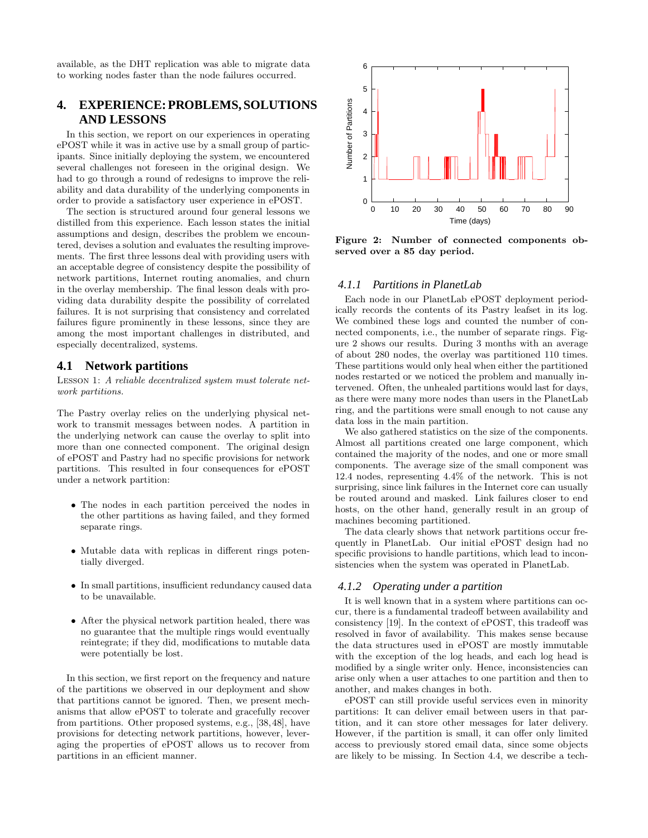available, as the DHT replication was able to migrate data to working nodes faster than the node failures occurred.

# **4. EXPERIENCE: PROBLEMS, SOLUTIONS AND LESSONS**

In this section, we report on our experiences in operating ePOST while it was in active use by a small group of participants. Since initially deploying the system, we encountered several challenges not foreseen in the original design. We had to go through a round of redesigns to improve the reliability and data durability of the underlying components in order to provide a satisfactory user experience in ePOST.

The section is structured around four general lessons we distilled from this experience. Each lesson states the initial assumptions and design, describes the problem we encountered, devises a solution and evaluates the resulting improvements. The first three lessons deal with providing users with an acceptable degree of consistency despite the possibility of network partitions, Internet routing anomalies, and churn in the overlay membership. The final lesson deals with providing data durability despite the possibility of correlated failures. It is not surprising that consistency and correlated failures figure prominently in these lessons, since they are among the most important challenges in distributed, and especially decentralized, systems.

## **4.1 Network partitions**

LESSON 1: A reliable decentralized system must tolerate network partitions.

The Pastry overlay relies on the underlying physical network to transmit messages between nodes. A partition in the underlying network can cause the overlay to split into more than one connected component. The original design of ePOST and Pastry had no specific provisions for network partitions. This resulted in four consequences for ePOST under a network partition:

- The nodes in each partition perceived the nodes in the other partitions as having failed, and they formed separate rings.
- Mutable data with replicas in different rings potentially diverged.
- In small partitions, insufficient redundancy caused data to be unavailable.
- After the physical network partition healed, there was no guarantee that the multiple rings would eventually reintegrate; if they did, modifications to mutable data were potentially be lost.

In this section, we first report on the frequency and nature of the partitions we observed in our deployment and show that partitions cannot be ignored. Then, we present mechanisms that allow ePOST to tolerate and gracefully recover from partitions. Other proposed systems, e.g., [38,48], have provisions for detecting network partitions, however, leveraging the properties of ePOST allows us to recover from partitions in an efficient manner.



Figure 2: Number of connected components observed over a 85 day period.

## *4.1.1 Partitions in PlanetLab*

Each node in our PlanetLab ePOST deployment periodically records the contents of its Pastry leafset in its log. We combined these logs and counted the number of connected components, i.e., the number of separate rings. Figure 2 shows our results. During 3 months with an average of about 280 nodes, the overlay was partitioned 110 times. These partitions would only heal when either the partitioned nodes restarted or we noticed the problem and manually intervened. Often, the unhealed partitions would last for days, as there were many more nodes than users in the PlanetLab ring, and the partitions were small enough to not cause any data loss in the main partition.

We also gathered statistics on the size of the components. Almost all partitions created one large component, which contained the majority of the nodes, and one or more small components. The average size of the small component was 12.4 nodes, representing 4.4% of the network. This is not surprising, since link failures in the Internet core can usually be routed around and masked. Link failures closer to end hosts, on the other hand, generally result in an group of machines becoming partitioned.

The data clearly shows that network partitions occur frequently in PlanetLab. Our initial ePOST design had no specific provisions to handle partitions, which lead to inconsistencies when the system was operated in PlanetLab.

## *4.1.2 Operating under a partition*

It is well known that in a system where partitions can occur, there is a fundamental tradeoff between availability and consistency [19]. In the context of ePOST, this tradeoff was resolved in favor of availability. This makes sense because the data structures used in ePOST are mostly immutable with the exception of the log heads, and each log head is modified by a single writer only. Hence, inconsistencies can arise only when a user attaches to one partition and then to another, and makes changes in both.

ePOST can still provide useful services even in minority partitions: It can deliver email between users in that partition, and it can store other messages for later delivery. However, if the partition is small, it can offer only limited access to previously stored email data, since some objects are likely to be missing. In Section 4.4, we describe a tech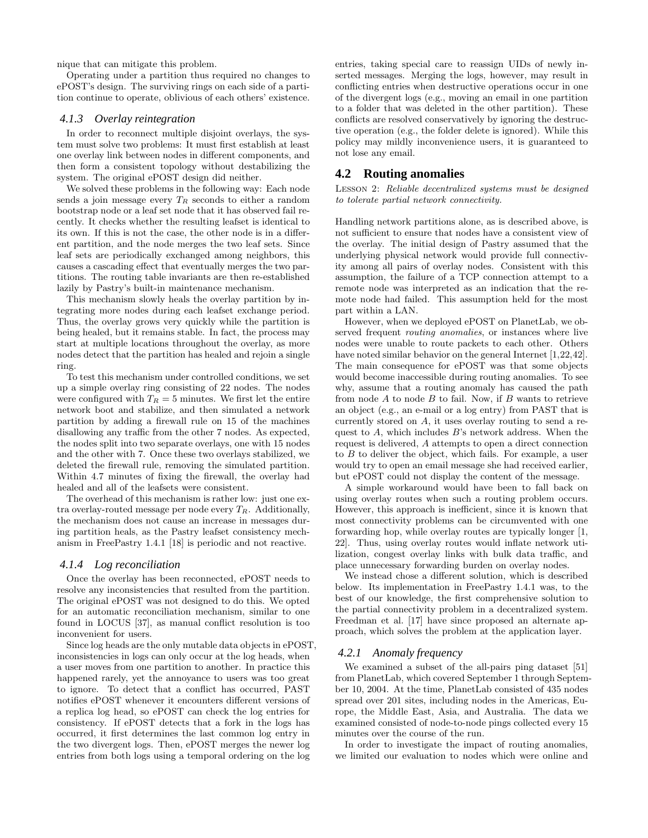nique that can mitigate this problem.

Operating under a partition thus required no changes to ePOST's design. The surviving rings on each side of a partition continue to operate, oblivious of each others' existence.

#### *4.1.3 Overlay reintegration*

In order to reconnect multiple disjoint overlays, the system must solve two problems: It must first establish at least one overlay link between nodes in different components, and then form a consistent topology without destabilizing the system. The original ePOST design did neither.

We solved these problems in the following way: Each node sends a join message every  $T_R$  seconds to either a random bootstrap node or a leaf set node that it has observed fail recently. It checks whether the resulting leafset is identical to its own. If this is not the case, the other node is in a different partition, and the node merges the two leaf sets. Since leaf sets are periodically exchanged among neighbors, this causes a cascading effect that eventually merges the two partitions. The routing table invariants are then re-established lazily by Pastry's built-in maintenance mechanism.

This mechanism slowly heals the overlay partition by integrating more nodes during each leafset exchange period. Thus, the overlay grows very quickly while the partition is being healed, but it remains stable. In fact, the process may start at multiple locations throughout the overlay, as more nodes detect that the partition has healed and rejoin a single ring.

To test this mechanism under controlled conditions, we set up a simple overlay ring consisting of 22 nodes. The nodes were configured with  $T_R = 5$  minutes. We first let the entire network boot and stabilize, and then simulated a network partition by adding a firewall rule on 15 of the machines disallowing any traffic from the other 7 nodes. As expected, the nodes split into two separate overlays, one with 15 nodes and the other with 7. Once these two overlays stabilized, we deleted the firewall rule, removing the simulated partition. Within 4.7 minutes of fixing the firewall, the overlay had healed and all of the leafsets were consistent.

The overhead of this mechanism is rather low: just one extra overlay-routed message per node every  $T_R$ . Additionally, the mechanism does not cause an increase in messages during partition heals, as the Pastry leafset consistency mechanism in FreePastry 1.4.1 [18] is periodic and not reactive.

## *4.1.4 Log reconciliation*

Once the overlay has been reconnected, ePOST needs to resolve any inconsistencies that resulted from the partition. The original ePOST was not designed to do this. We opted for an automatic reconciliation mechanism, similar to one found in LOCUS [37], as manual conflict resolution is too inconvenient for users.

Since log heads are the only mutable data objects in ePOST, inconsistencies in logs can only occur at the log heads, when a user moves from one partition to another. In practice this happened rarely, yet the annoyance to users was too great to ignore. To detect that a conflict has occurred, PAST notifies ePOST whenever it encounters different versions of a replica log head, so ePOST can check the log entries for consistency. If ePOST detects that a fork in the logs has occurred, it first determines the last common log entry in the two divergent logs. Then, ePOST merges the newer log entries from both logs using a temporal ordering on the log

entries, taking special care to reassign UIDs of newly inserted messages. Merging the logs, however, may result in conflicting entries when destructive operations occur in one of the divergent logs (e.g., moving an email in one partition to a folder that was deleted in the other partition). These conflicts are resolved conservatively by ignoring the destructive operation (e.g., the folder delete is ignored). While this policy may mildly inconvenience users, it is guaranteed to not lose any email.

#### **4.2 Routing anomalies**

Lesson 2: Reliable decentralized systems must be designed to tolerate partial network connectivity.

Handling network partitions alone, as is described above, is not sufficient to ensure that nodes have a consistent view of the overlay. The initial design of Pastry assumed that the underlying physical network would provide full connectivity among all pairs of overlay nodes. Consistent with this assumption, the failure of a TCP connection attempt to a remote node was interpreted as an indication that the remote node had failed. This assumption held for the most part within a LAN.

However, when we deployed ePOST on PlanetLab, we observed frequent routing anomalies, or instances where live nodes were unable to route packets to each other. Others have noted similar behavior on the general Internet [1,22,42]. The main consequence for ePOST was that some objects would become inaccessible during routing anomalies. To see why, assume that a routing anomaly has caused the path from node  $A$  to node  $B$  to fail. Now, if  $B$  wants to retrieve an object (e.g., an e-mail or a log entry) from PAST that is currently stored on A, it uses overlay routing to send a request to  $A$ , which includes  $B$ 's network address. When the request is delivered, A attempts to open a direct connection to B to deliver the object, which fails. For example, a user would try to open an email message she had received earlier, but ePOST could not display the content of the message.

A simple workaround would have been to fall back on using overlay routes when such a routing problem occurs. However, this approach is inefficient, since it is known that most connectivity problems can be circumvented with one forwarding hop, while overlay routes are typically longer [1, 22]. Thus, using overlay routes would inflate network utilization, congest overlay links with bulk data traffic, and place unnecessary forwarding burden on overlay nodes.

We instead chose a different solution, which is described below. Its implementation in FreePastry 1.4.1 was, to the best of our knowledge, the first comprehensive solution to the partial connectivity problem in a decentralized system. Freedman et al. [17] have since proposed an alternate approach, which solves the problem at the application layer.

#### *4.2.1 Anomaly frequency*

We examined a subset of the all-pairs ping dataset [51] from PlanetLab, which covered September 1 through September 10, 2004. At the time, PlanetLab consisted of 435 nodes spread over 201 sites, including nodes in the Americas, Europe, the Middle East, Asia, and Australia. The data we examined consisted of node-to-node pings collected every 15 minutes over the course of the run.

In order to investigate the impact of routing anomalies, we limited our evaluation to nodes which were online and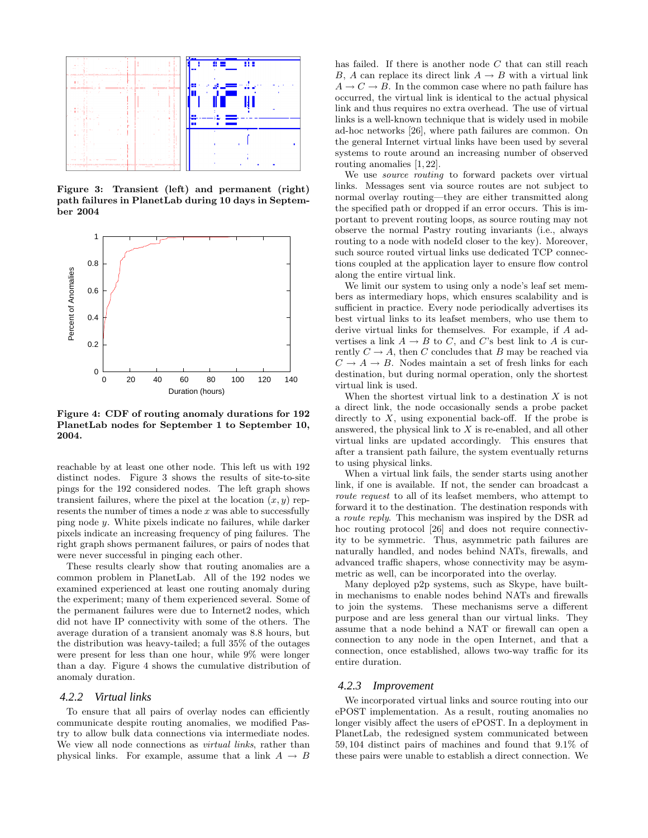

Figure 3: Transient (left) and permanent (right) path failures in PlanetLab during 10 days in September 2004



Figure 4: CDF of routing anomaly durations for 192 PlanetLab nodes for September 1 to September 10, 2004.

reachable by at least one other node. This left us with 192 distinct nodes. Figure 3 shows the results of site-to-site pings for the 192 considered nodes. The left graph shows transient failures, where the pixel at the location  $(x, y)$  represents the number of times a node  $x$  was able to successfully ping node y. White pixels indicate no failures, while darker pixels indicate an increasing frequency of ping failures. The right graph shows permanent failures, or pairs of nodes that were never successful in pinging each other.

These results clearly show that routing anomalies are a common problem in PlanetLab. All of the 192 nodes we examined experienced at least one routing anomaly during the experiment; many of them experienced several. Some of the permanent failures were due to Internet2 nodes, which did not have IP connectivity with some of the others. The average duration of a transient anomaly was 8.8 hours, but the distribution was heavy-tailed; a full 35% of the outages were present for less than one hour, while 9% were longer than a day. Figure 4 shows the cumulative distribution of anomaly duration.

#### *4.2.2 Virtual links*

To ensure that all pairs of overlay nodes can efficiently communicate despite routing anomalies, we modified Pastry to allow bulk data connections via intermediate nodes. We view all node connections as *virtual links*, rather than physical links. For example, assume that a link  $A \rightarrow B$  has failed. If there is another node C that can still reach B, A can replace its direct link  $A \rightarrow B$  with a virtual link  $A \rightarrow C \rightarrow B$ . In the common case where no path failure has occurred, the virtual link is identical to the actual physical link and thus requires no extra overhead. The use of virtual links is a well-known technique that is widely used in mobile ad-hoc networks [26], where path failures are common. On the general Internet virtual links have been used by several systems to route around an increasing number of observed routing anomalies [1, 22].

We use *source routing* to forward packets over virtual links. Messages sent via source routes are not subject to normal overlay routing—they are either transmitted along the specified path or dropped if an error occurs. This is important to prevent routing loops, as source routing may not observe the normal Pastry routing invariants (i.e., always routing to a node with nodeId closer to the key). Moreover, such source routed virtual links use dedicated TCP connections coupled at the application layer to ensure flow control along the entire virtual link.

We limit our system to using only a node's leaf set members as intermediary hops, which ensures scalability and is sufficient in practice. Every node periodically advertises its best virtual links to its leafset members, who use them to derive virtual links for themselves. For example, if A advertises a link  $A \rightarrow B$  to C, and C's best link to A is currently  $C \to A$ , then C concludes that B may be reached via  $C \rightarrow A \rightarrow B$ . Nodes maintain a set of fresh links for each destination, but during normal operation, only the shortest virtual link is used.

When the shortest virtual link to a destination  $X$  is not a direct link, the node occasionally sends a probe packet directly to  $X$ , using exponential back-off. If the probe is answered, the physical link to X is re-enabled, and all other virtual links are updated accordingly. This ensures that after a transient path failure, the system eventually returns to using physical links.

When a virtual link fails, the sender starts using another link, if one is available. If not, the sender can broadcast a route request to all of its leafset members, who attempt to forward it to the destination. The destination responds with a route reply. This mechanism was inspired by the DSR ad hoc routing protocol [26] and does not require connectivity to be symmetric. Thus, asymmetric path failures are naturally handled, and nodes behind NATs, firewalls, and advanced traffic shapers, whose connectivity may be asymmetric as well, can be incorporated into the overlay.

Many deployed p2p systems, such as Skype, have builtin mechanisms to enable nodes behind NATs and firewalls to join the systems. These mechanisms serve a different purpose and are less general than our virtual links. They assume that a node behind a NAT or firewall can open a connection to any node in the open Internet, and that a connection, once established, allows two-way traffic for its entire duration.

#### *4.2.3 Improvement*

We incorporated virtual links and source routing into our ePOST implementation. As a result, routing anomalies no longer visibly affect the users of ePOST. In a deployment in PlanetLab, the redesigned system communicated between 59, 104 distinct pairs of machines and found that 9.1% of these pairs were unable to establish a direct connection. We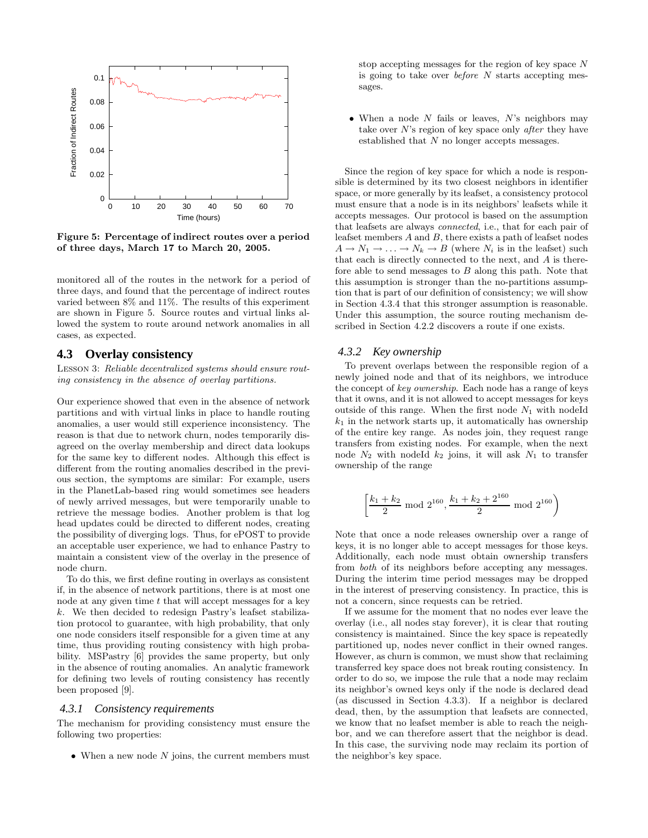

Figure 5: Percentage of indirect routes over a period of three days, March 17 to March 20, 2005.

monitored all of the routes in the network for a period of three days, and found that the percentage of indirect routes varied between 8% and 11%. The results of this experiment are shown in Figure 5. Source routes and virtual links allowed the system to route around network anomalies in all cases, as expected.

## **4.3 Overlay consistency**

Lesson 3: Reliable decentralized systems should ensure routing consistency in the absence of overlay partitions.

Our experience showed that even in the absence of network partitions and with virtual links in place to handle routing anomalies, a user would still experience inconsistency. The reason is that due to network churn, nodes temporarily disagreed on the overlay membership and direct data lookups for the same key to different nodes. Although this effect is different from the routing anomalies described in the previous section, the symptoms are similar: For example, users in the PlanetLab-based ring would sometimes see headers of newly arrived messages, but were temporarily unable to retrieve the message bodies. Another problem is that log head updates could be directed to different nodes, creating the possibility of diverging logs. Thus, for ePOST to provide an acceptable user experience, we had to enhance Pastry to maintain a consistent view of the overlay in the presence of node churn.

To do this, we first define routing in overlays as consistent if, in the absence of network partitions, there is at most one node at any given time  $t$  that will accept messages for a key k. We then decided to redesign Pastry's leafset stabilization protocol to guarantee, with high probability, that only one node considers itself responsible for a given time at any time, thus providing routing consistency with high probability. MSPastry [6] provides the same property, but only in the absence of routing anomalies. An analytic framework for defining two levels of routing consistency has recently been proposed [9].

#### *4.3.1 Consistency requirements*

The mechanism for providing consistency must ensure the following two properties:

• When a new node  $N$  joins, the current members must

stop accepting messages for the region of key space N is going to take over *before*  $N$  starts accepting messages.

• When a node  $N$  fails or leaves,  $N$ 's neighbors may take over  $N$ 's region of key space only *after* they have established that N no longer accepts messages.

Since the region of key space for which a node is responsible is determined by its two closest neighbors in identifier space, or more generally by its leafset, a consistency protocol must ensure that a node is in its neighbors' leafsets while it accepts messages. Our protocol is based on the assumption that leafsets are always connected, i.e., that for each pair of leafset members A and B, there exists a path of leafset nodes  $A \to N_1 \to \ldots \to N_k \to B$  (where  $N_i$  is in the leafset) such that each is directly connected to the next, and A is therefore able to send messages to  $B$  along this path. Note that this assumption is stronger than the no-partitions assumption that is part of our definition of consistency; we will show in Section 4.3.4 that this stronger assumption is reasonable. Under this assumption, the source routing mechanism described in Section 4.2.2 discovers a route if one exists.

#### *4.3.2 Key ownership*

To prevent overlaps between the responsible region of a newly joined node and that of its neighbors, we introduce the concept of key ownership. Each node has a range of keys that it owns, and it is not allowed to accept messages for keys outside of this range. When the first node  $N_1$  with nodeId  $k_1$  in the network starts up, it automatically has ownership of the entire key range. As nodes join, they request range transfers from existing nodes. For example, when the next node  $N_2$  with nodeId  $k_2$  joins, it will ask  $N_1$  to transfer ownership of the range

$$
\[\frac{k_1 + k_2}{2} \bmod 2^{160}, \frac{k_1 + k_2 + 2^{160}}{2} \bmod 2^{160}\right)
$$

Note that once a node releases ownership over a range of keys, it is no longer able to accept messages for those keys. Additionally, each node must obtain ownership transfers from both of its neighbors before accepting any messages. During the interim time period messages may be dropped in the interest of preserving consistency. In practice, this is not a concern, since requests can be retried.

If we assume for the moment that no nodes ever leave the overlay (i.e., all nodes stay forever), it is clear that routing consistency is maintained. Since the key space is repeatedly partitioned up, nodes never conflict in their owned ranges. However, as churn is common, we must show that reclaiming transferred key space does not break routing consistency. In order to do so, we impose the rule that a node may reclaim its neighbor's owned keys only if the node is declared dead (as discussed in Section 4.3.3). If a neighbor is declared dead, then, by the assumption that leafsets are connected, we know that no leafset member is able to reach the neighbor, and we can therefore assert that the neighbor is dead. In this case, the surviving node may reclaim its portion of the neighbor's key space.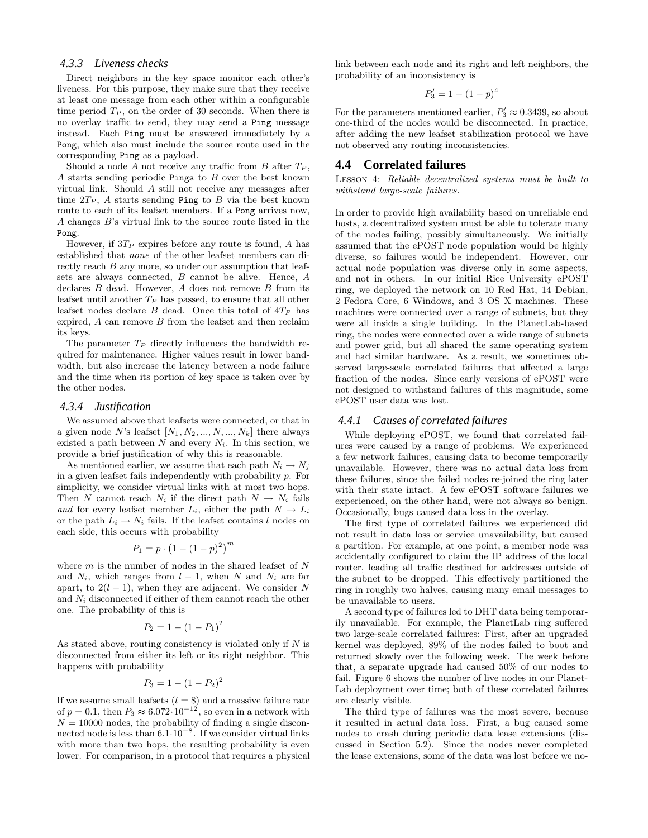#### *4.3.3 Liveness checks*

Direct neighbors in the key space monitor each other's liveness. For this purpose, they make sure that they receive at least one message from each other within a configurable time period  $T_P$ , on the order of 30 seconds. When there is no overlay traffic to send, they may send a Ping message instead. Each Ping must be answered immediately by a Pong, which also must include the source route used in the corresponding Ping as a payload.

Should a node A not receive any traffic from B after  $T_P$ , A starts sending periodic Pings to B over the best known virtual link. Should A still not receive any messages after time  $2T_P$ , A starts sending Ping to B via the best known route to each of its leafset members. If a Pong arrives now, A changes B's virtual link to the source route listed in the Pong.

However, if  $3T_P$  expires before any route is found, A has established that none of the other leafset members can directly reach B any more, so under our assumption that leafsets are always connected, B cannot be alive. Hence, A declares  $B$  dead. However,  $A$  does not remove  $B$  from its leafset until another  $T_P$  has passed, to ensure that all other leafset nodes declare  $B$  dead. Once this total of  $4T<sub>P</sub>$  has expired,  $A$  can remove  $B$  from the leafset and then reclaim its keys.

The parameter  $T_P$  directly influences the bandwidth required for maintenance. Higher values result in lower bandwidth, but also increase the latency between a node failure and the time when its portion of key space is taken over by the other nodes.

#### *4.3.4 Justification*

We assumed above that leafsets were connected, or that in a given node N's leafset  $[N_1, N_2, ..., N, ..., N_k]$  there always existed a path between  $N$  and every  $N_i$ . In this section, we provide a brief justification of why this is reasonable.

As mentioned earlier, we assume that each path  $N_i \rightarrow N_j$ in a given leafset fails independently with probability p. For simplicity, we consider virtual links with at most two hops. Then N cannot reach  $N_i$  if the direct path  $N \rightarrow N_i$  fails and for every leafset member  $L_i$ , either the path  $N \to L_i$ or the path  $L_i \to N_i$  fails. If the leafset contains l nodes on each side, this occurs with probability

$$
P_1 = p \cdot (1 - (1 - p)^2)^m
$$

where  $m$  is the number of nodes in the shared leafset of  $N$ and  $N_i$ , which ranges from  $l-1$ , when N and  $N_i$  are far apart, to  $2(l-1)$ , when they are adjacent. We consider N and  $N_i$  disconnected if either of them cannot reach the other one. The probability of this is

$$
P_2 = 1 - (1 - P_1)^2
$$

As stated above, routing consistency is violated only if  $N$  is disconnected from either its left or its right neighbor. This happens with probability

$$
P_3 = 1 - (1 - P_2)^2
$$

If we assume small leafsets  $(l = 8)$  and a massive failure rate of  $p = 0.1$ , then  $P_3 \approx 6.072 \cdot 10^{-12}$ , so even in a network with  $N = 10000$  nodes, the probability of finding a single disconnected node is less than  $6.1 \cdot 10^{-8}$ . If we consider virtual links with more than two hops, the resulting probability is even lower. For comparison, in a protocol that requires a physical link between each node and its right and left neighbors, the probability of an inconsistency is

$$
P_3^\prime=1-\left(1-p\right)^4
$$

For the parameters mentioned earlier,  $P'_3 \approx 0.3439$ , so about one-third of the nodes would be disconnected. In practice, after adding the new leafset stabilization protocol we have not observed any routing inconsistencies.

## **4.4 Correlated failures**

Lesson 4: Reliable decentralized systems must be built to withstand large-scale failures.

In order to provide high availability based on unreliable end hosts, a decentralized system must be able to tolerate many of the nodes failing, possibly simultaneously. We initially assumed that the ePOST node population would be highly diverse, so failures would be independent. However, our actual node population was diverse only in some aspects, and not in others. In our initial Rice University ePOST ring, we deployed the network on 10 Red Hat, 14 Debian, 2 Fedora Core, 6 Windows, and 3 OS X machines. These machines were connected over a range of subnets, but they were all inside a single building. In the PlanetLab-based ring, the nodes were connected over a wide range of subnets and power grid, but all shared the same operating system and had similar hardware. As a result, we sometimes observed large-scale correlated failures that affected a large fraction of the nodes. Since early versions of ePOST were not designed to withstand failures of this magnitude, some ePOST user data was lost.

#### *4.4.1 Causes of correlated failures*

While deploying ePOST, we found that correlated failures were caused by a range of problems. We experienced a few network failures, causing data to become temporarily unavailable. However, there was no actual data loss from these failures, since the failed nodes re-joined the ring later with their state intact. A few ePOST software failures we experienced, on the other hand, were not always so benign. Occasionally, bugs caused data loss in the overlay.

The first type of correlated failures we experienced did not result in data loss or service unavailability, but caused a partition. For example, at one point, a member node was accidentally configured to claim the IP address of the local router, leading all traffic destined for addresses outside of the subnet to be dropped. This effectively partitioned the ring in roughly two halves, causing many email messages to be unavailable to users.

A second type of failures led to DHT data being temporarily unavailable. For example, the PlanetLab ring suffered two large-scale correlated failures: First, after an upgraded kernel was deployed, 89% of the nodes failed to boot and returned slowly over the following week. The week before that, a separate upgrade had caused 50% of our nodes to fail. Figure 6 shows the number of live nodes in our Planet-Lab deployment over time; both of these correlated failures are clearly visible.

The third type of failures was the most severe, because it resulted in actual data loss. First, a bug caused some nodes to crash during periodic data lease extensions (discussed in Section 5.2). Since the nodes never completed the lease extensions, some of the data was lost before we no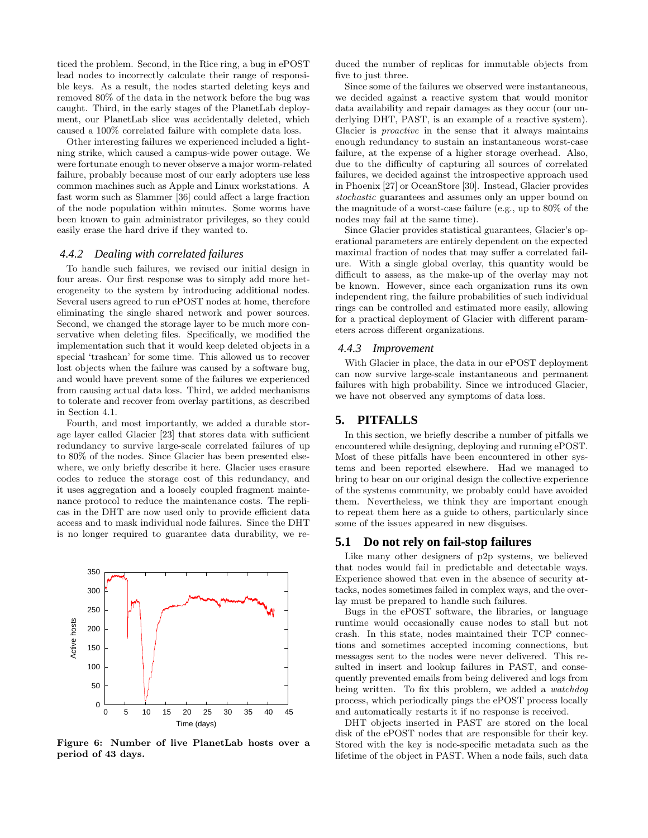ticed the problem. Second, in the Rice ring, a bug in ePOST lead nodes to incorrectly calculate their range of responsible keys. As a result, the nodes started deleting keys and removed 80% of the data in the network before the bug was caught. Third, in the early stages of the PlanetLab deployment, our PlanetLab slice was accidentally deleted, which caused a 100% correlated failure with complete data loss.

Other interesting failures we experienced included a lightning strike, which caused a campus-wide power outage. We were fortunate enough to never observe a major worm-related failure, probably because most of our early adopters use less common machines such as Apple and Linux workstations. A fast worm such as Slammer [36] could affect a large fraction of the node population within minutes. Some worms have been known to gain administrator privileges, so they could easily erase the hard drive if they wanted to.

#### *4.4.2 Dealing with correlated failures*

To handle such failures, we revised our initial design in four areas. Our first response was to simply add more heterogeneity to the system by introducing additional nodes. Several users agreed to run ePOST nodes at home, therefore eliminating the single shared network and power sources. Second, we changed the storage layer to be much more conservative when deleting files. Specifically, we modified the implementation such that it would keep deleted objects in a special 'trashcan' for some time. This allowed us to recover lost objects when the failure was caused by a software bug, and would have prevent some of the failures we experienced from causing actual data loss. Third, we added mechanisms to tolerate and recover from overlay partitions, as described in Section 4.1.

Fourth, and most importantly, we added a durable storage layer called Glacier [23] that stores data with sufficient redundancy to survive large-scale correlated failures of up to 80% of the nodes. Since Glacier has been presented elsewhere, we only briefly describe it here. Glacier uses erasure codes to reduce the storage cost of this redundancy, and it uses aggregation and a loosely coupled fragment maintenance protocol to reduce the maintenance costs. The replicas in the DHT are now used only to provide efficient data access and to mask individual node failures. Since the DHT is no longer required to guarantee data durability, we re-



Figure 6: Number of live PlanetLab hosts over a period of 43 days.

duced the number of replicas for immutable objects from five to just three.

Since some of the failures we observed were instantaneous, we decided against a reactive system that would monitor data availability and repair damages as they occur (our underlying DHT, PAST, is an example of a reactive system). Glacier is proactive in the sense that it always maintains enough redundancy to sustain an instantaneous worst-case failure, at the expense of a higher storage overhead. Also, due to the difficulty of capturing all sources of correlated failures, we decided against the introspective approach used in Phoenix [27] or OceanStore [30]. Instead, Glacier provides stochastic guarantees and assumes only an upper bound on the magnitude of a worst-case failure (e.g., up to 80% of the nodes may fail at the same time).

Since Glacier provides statistical guarantees, Glacier's operational parameters are entirely dependent on the expected maximal fraction of nodes that may suffer a correlated failure. With a single global overlay, this quantity would be difficult to assess, as the make-up of the overlay may not be known. However, since each organization runs its own independent ring, the failure probabilities of such individual rings can be controlled and estimated more easily, allowing for a practical deployment of Glacier with different parameters across different organizations.

#### *4.4.3 Improvement*

With Glacier in place, the data in our ePOST deployment can now survive large-scale instantaneous and permanent failures with high probability. Since we introduced Glacier, we have not observed any symptoms of data loss.

#### **5. PITFALLS**

In this section, we briefly describe a number of pitfalls we encountered while designing, deploying and running ePOST. Most of these pitfalls have been encountered in other systems and been reported elsewhere. Had we managed to bring to bear on our original design the collective experience of the systems community, we probably could have avoided them. Nevertheless, we think they are important enough to repeat them here as a guide to others, particularly since some of the issues appeared in new disguises.

## **5.1 Do not rely on fail-stop failures**

Like many other designers of p2p systems, we believed that nodes would fail in predictable and detectable ways. Experience showed that even in the absence of security attacks, nodes sometimes failed in complex ways, and the overlay must be prepared to handle such failures.

Bugs in the ePOST software, the libraries, or language runtime would occasionally cause nodes to stall but not crash. In this state, nodes maintained their TCP connections and sometimes accepted incoming connections, but messages sent to the nodes were never delivered. This resulted in insert and lookup failures in PAST, and consequently prevented emails from being delivered and logs from being written. To fix this problem, we added a *watchdog* process, which periodically pings the ePOST process locally and automatically restarts it if no response is received.

DHT objects inserted in PAST are stored on the local disk of the ePOST nodes that are responsible for their key. Stored with the key is node-specific metadata such as the lifetime of the object in PAST. When a node fails, such data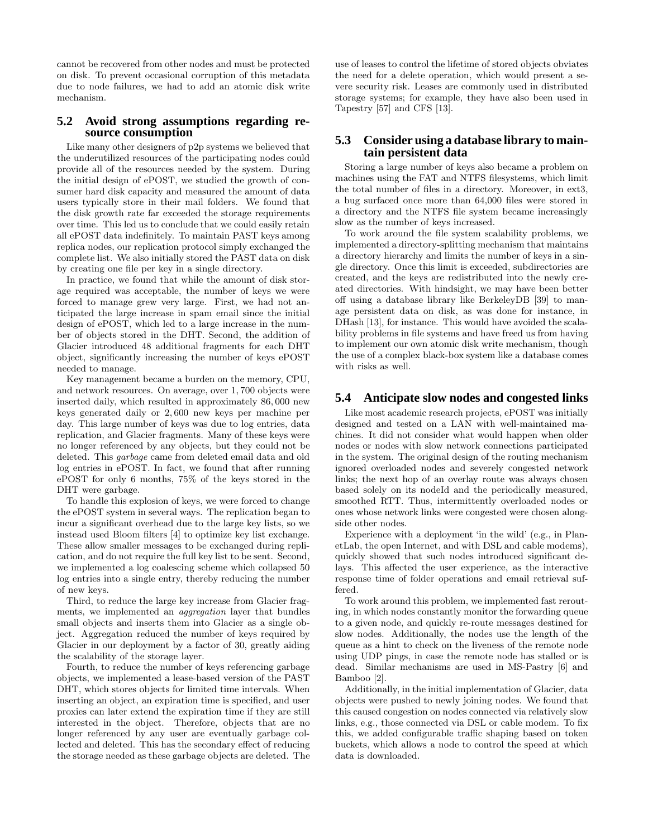cannot be recovered from other nodes and must be protected on disk. To prevent occasional corruption of this metadata due to node failures, we had to add an atomic disk write mechanism.

## **5.2 Avoid strong assumptions regarding resource consumption**

Like many other designers of p2p systems we believed that the underutilized resources of the participating nodes could provide all of the resources needed by the system. During the initial design of ePOST, we studied the growth of consumer hard disk capacity and measured the amount of data users typically store in their mail folders. We found that the disk growth rate far exceeded the storage requirements over time. This led us to conclude that we could easily retain all ePOST data indefinitely. To maintain PAST keys among replica nodes, our replication protocol simply exchanged the complete list. We also initially stored the PAST data on disk by creating one file per key in a single directory.

In practice, we found that while the amount of disk storage required was acceptable, the number of keys we were forced to manage grew very large. First, we had not anticipated the large increase in spam email since the initial design of ePOST, which led to a large increase in the number of objects stored in the DHT. Second, the addition of Glacier introduced 48 additional fragments for each DHT object, significantly increasing the number of keys ePOST needed to manage.

Key management became a burden on the memory, CPU, and network resources. On average, over 1, 700 objects were inserted daily, which resulted in approximately 86, 000 new keys generated daily or 2, 600 new keys per machine per day. This large number of keys was due to log entries, data replication, and Glacier fragments. Many of these keys were no longer referenced by any objects, but they could not be deleted. This garbage came from deleted email data and old log entries in ePOST. In fact, we found that after running ePOST for only 6 months, 75% of the keys stored in the DHT were garbage.

To handle this explosion of keys, we were forced to change the ePOST system in several ways. The replication began to incur a significant overhead due to the large key lists, so we instead used Bloom filters [4] to optimize key list exchange. These allow smaller messages to be exchanged during replication, and do not require the full key list to be sent. Second, we implemented a log coalescing scheme which collapsed 50 log entries into a single entry, thereby reducing the number of new keys.

Third, to reduce the large key increase from Glacier fragments, we implemented an aggregation layer that bundles small objects and inserts them into Glacier as a single object. Aggregation reduced the number of keys required by Glacier in our deployment by a factor of 30, greatly aiding the scalability of the storage layer.

Fourth, to reduce the number of keys referencing garbage objects, we implemented a lease-based version of the PAST DHT, which stores objects for limited time intervals. When inserting an object, an expiration time is specified, and user proxies can later extend the expiration time if they are still interested in the object. Therefore, objects that are no longer referenced by any user are eventually garbage collected and deleted. This has the secondary effect of reducing the storage needed as these garbage objects are deleted. The use of leases to control the lifetime of stored objects obviates the need for a delete operation, which would present a severe security risk. Leases are commonly used in distributed storage systems; for example, they have also been used in Tapestry [57] and CFS [13].

#### **5.3 Consider using a database library to maintain persistent data**

Storing a large number of keys also became a problem on machines using the FAT and NTFS filesystems, which limit the total number of files in a directory. Moreover, in ext3, a bug surfaced once more than 64,000 files were stored in a directory and the NTFS file system became increasingly slow as the number of keys increased.

To work around the file system scalability problems, we implemented a directory-splitting mechanism that maintains a directory hierarchy and limits the number of keys in a single directory. Once this limit is exceeded, subdirectories are created, and the keys are redistributed into the newly created directories. With hindsight, we may have been better off using a database library like BerkeleyDB [39] to manage persistent data on disk, as was done for instance, in DHash [13], for instance. This would have avoided the scalability problems in file systems and have freed us from having to implement our own atomic disk write mechanism, though the use of a complex black-box system like a database comes with risks as well.

## **5.4 Anticipate slow nodes and congested links**

Like most academic research projects, ePOST was initially designed and tested on a LAN with well-maintained machines. It did not consider what would happen when older nodes or nodes with slow network connections participated in the system. The original design of the routing mechanism ignored overloaded nodes and severely congested network links; the next hop of an overlay route was always chosen based solely on its nodeId and the periodically measured, smoothed RTT. Thus, intermittently overloaded nodes or ones whose network links were congested were chosen alongside other nodes.

Experience with a deployment 'in the wild' (e.g., in PlanetLab, the open Internet, and with DSL and cable modems), quickly showed that such nodes introduced significant delays. This affected the user experience, as the interactive response time of folder operations and email retrieval suffered.

To work around this problem, we implemented fast rerouting, in which nodes constantly monitor the forwarding queue to a given node, and quickly re-route messages destined for slow nodes. Additionally, the nodes use the length of the queue as a hint to check on the liveness of the remote node using UDP pings, in case the remote node has stalled or is dead. Similar mechanisms are used in MS-Pastry [6] and Bamboo [2].

Additionally, in the initial implementation of Glacier, data objects were pushed to newly joining nodes. We found that this caused congestion on nodes connected via relatively slow links, e.g., those connected via DSL or cable modem. To fix this, we added configurable traffic shaping based on token buckets, which allows a node to control the speed at which data is downloaded.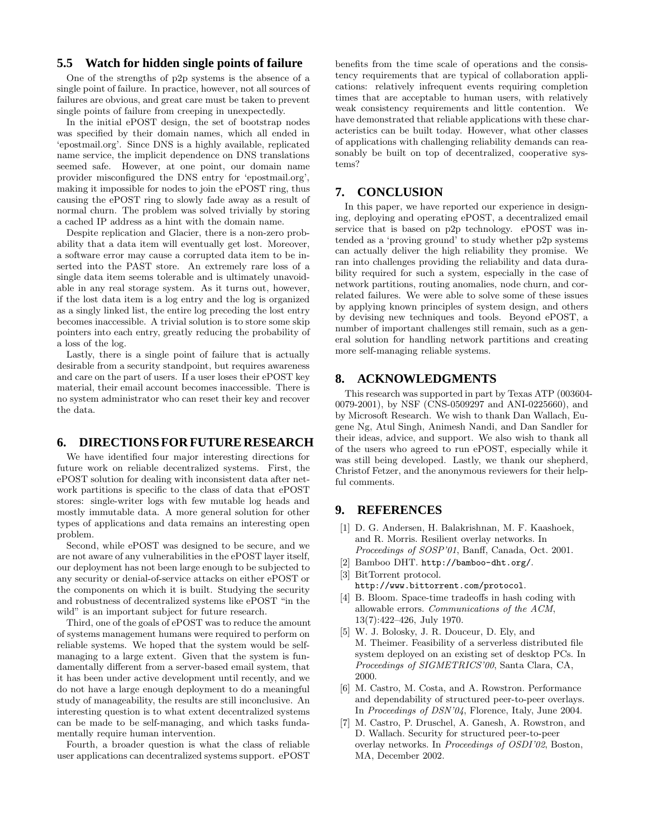## **5.5 Watch for hidden single points of failure**

One of the strengths of p2p systems is the absence of a single point of failure. In practice, however, not all sources of failures are obvious, and great care must be taken to prevent single points of failure from creeping in unexpectedly.

In the initial ePOST design, the set of bootstrap nodes was specified by their domain names, which all ended in 'epostmail.org'. Since DNS is a highly available, replicated name service, the implicit dependence on DNS translations seemed safe. However, at one point, our domain name provider misconfigured the DNS entry for 'epostmail.org', making it impossible for nodes to join the ePOST ring, thus causing the ePOST ring to slowly fade away as a result of normal churn. The problem was solved trivially by storing a cached IP address as a hint with the domain name.

Despite replication and Glacier, there is a non-zero probability that a data item will eventually get lost. Moreover, a software error may cause a corrupted data item to be inserted into the PAST store. An extremely rare loss of a single data item seems tolerable and is ultimately unavoidable in any real storage system. As it turns out, however, if the lost data item is a log entry and the log is organized as a singly linked list, the entire log preceding the lost entry becomes inaccessible. A trivial solution is to store some skip pointers into each entry, greatly reducing the probability of a loss of the log.

Lastly, there is a single point of failure that is actually desirable from a security standpoint, but requires awareness and care on the part of users. If a user loses their ePOST key material, their email account becomes inaccessible. There is no system administrator who can reset their key and recover the data.

## **6. DIRECTIONS FOR FUTURE RESEARCH**

We have identified four major interesting directions for future work on reliable decentralized systems. First, the ePOST solution for dealing with inconsistent data after network partitions is specific to the class of data that ePOST stores: single-writer logs with few mutable log heads and mostly immutable data. A more general solution for other types of applications and data remains an interesting open problem.

Second, while ePOST was designed to be secure, and we are not aware of any vulnerabilities in the ePOST layer itself, our deployment has not been large enough to be subjected to any security or denial-of-service attacks on either ePOST or the components on which it is built. Studying the security and robustness of decentralized systems like ePOST "in the wild" is an important subject for future research.

Third, one of the goals of ePOST was to reduce the amount of systems management humans were required to perform on reliable systems. We hoped that the system would be selfmanaging to a large extent. Given that the system is fundamentally different from a server-based email system, that it has been under active development until recently, and we do not have a large enough deployment to do a meaningful study of manageability, the results are still inconclusive. An interesting question is to what extent decentralized systems can be made to be self-managing, and which tasks fundamentally require human intervention.

Fourth, a broader question is what the class of reliable user applications can decentralized systems support. ePOST benefits from the time scale of operations and the consistency requirements that are typical of collaboration applications: relatively infrequent events requiring completion times that are acceptable to human users, with relatively weak consistency requirements and little contention. We have demonstrated that reliable applications with these characteristics can be built today. However, what other classes of applications with challenging reliability demands can reasonably be built on top of decentralized, cooperative systems?

# **7. CONCLUSION**

In this paper, we have reported our experience in designing, deploying and operating ePOST, a decentralized email service that is based on p2p technology. ePOST was intended as a 'proving ground' to study whether p2p systems can actually deliver the high reliability they promise. We ran into challenges providing the reliability and data durability required for such a system, especially in the case of network partitions, routing anomalies, node churn, and correlated failures. We were able to solve some of these issues by applying known principles of system design, and others by devising new techniques and tools. Beyond ePOST, a number of important challenges still remain, such as a general solution for handling network partitions and creating more self-managing reliable systems.

## **8. ACKNOWLEDGMENTS**

This research was supported in part by Texas ATP (003604- 0079-2001), by NSF (CNS-0509297 and ANI-0225660), and by Microsoft Research. We wish to thank Dan Wallach, Eugene Ng, Atul Singh, Animesh Nandi, and Dan Sandler for their ideas, advice, and support. We also wish to thank all of the users who agreed to run ePOST, especially while it was still being developed. Lastly, we thank our shepherd, Christof Fetzer, and the anonymous reviewers for their helpful comments.

## **9. REFERENCES**

- [1] D. G. Andersen, H. Balakrishnan, M. F. Kaashoek, and R. Morris. Resilient overlay networks. In Proceedings of SOSP'01, Banff, Canada, Oct. 2001.
- [2] Bamboo DHT. http://bamboo-dht.org/.
- [3] BitTorrent protocol.
- http://www.bittorrent.com/protocol. [4] B. Bloom. Space-time tradeoffs in hash coding with allowable errors. Communications of the ACM, 13(7):422–426, July 1970.
- [5] W. J. Bolosky, J. R. Douceur, D. Ely, and M. Theimer. Feasibility of a serverless distributed file system deployed on an existing set of desktop PCs. In Proceedings of SIGMETRICS'00, Santa Clara, CA, 2000.
- [6] M. Castro, M. Costa, and A. Rowstron. Performance and dependability of structured peer-to-peer overlays. In Proceedings of DSN'04, Florence, Italy, June 2004.
- [7] M. Castro, P. Druschel, A. Ganesh, A. Rowstron, and D. Wallach. Security for structured peer-to-peer overlay networks. In Proceedings of OSDI'02, Boston, MA, December 2002.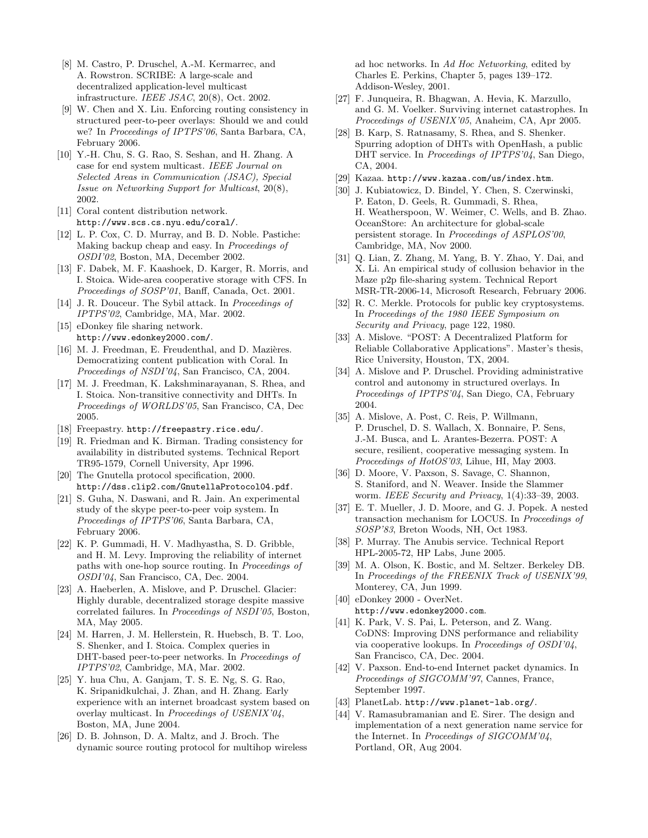- [8] M. Castro, P. Druschel, A.-M. Kermarrec, and A. Rowstron. SCRIBE: A large-scale and decentralized application-level multicast infrastructure. IEEE JSAC, 20(8), Oct. 2002.
- [9] W. Chen and X. Liu. Enforcing routing consistency in structured peer-to-peer overlays: Should we and could we? In Proceedings of IPTPS'06, Santa Barbara, CA, February 2006.
- [10] Y.-H. Chu, S. G. Rao, S. Seshan, and H. Zhang. A case for end system multicast. IEEE Journal on Selected Areas in Communication (JSAC), Special Issue on Networking Support for Multicast, 20(8), 2002.
- [11] Coral content distribution network. http://www.scs.cs.nyu.edu/coral/.
- [12] L. P. Cox, C. D. Murray, and B. D. Noble. Pastiche: Making backup cheap and easy. In Proceedings of OSDI'02, Boston, MA, December 2002.
- [13] F. Dabek, M. F. Kaashoek, D. Karger, R. Morris, and I. Stoica. Wide-area cooperative storage with CFS. In Proceedings of SOSP'01, Banff, Canada, Oct. 2001.
- [14] J. R. Douceur. The Sybil attack. In Proceedings of IPTPS'02, Cambridge, MA, Mar. 2002.
- [15] eDonkey file sharing network. http://www.edonkey2000.com/.
- [16] M. J. Freedman, E. Freudenthal, and D. Mazières. Democratizing content publication with Coral. In Proceedings of NSDI'04, San Francisco, CA, 2004.
- [17] M. J. Freedman, K. Lakshminarayanan, S. Rhea, and I. Stoica. Non-transitive connectivity and DHTs. In Proceedings of WORLDS'05, San Francisco, CA, Dec 2005.
- [18] Freepastry. http://freepastry.rice.edu/.
- [19] R. Friedman and K. Birman. Trading consistency for availability in distributed systems. Technical Report TR95-1579, Cornell University, Apr 1996.
- [20] The Gnutella protocol specification, 2000. http://dss.clip2.com/GnutellaProtocol04.pdf.
- [21] S. Guha, N. Daswani, and R. Jain. An experimental study of the skype peer-to-peer voip system. In Proceedings of IPTPS'06, Santa Barbara, CA, February 2006.
- [22] K. P. Gummadi, H. V. Madhyastha, S. D. Gribble, and H. M. Levy. Improving the reliability of internet paths with one-hop source routing. In Proceedings of OSDI'04, San Francisco, CA, Dec. 2004.
- [23] A. Haeberlen, A. Mislove, and P. Druschel. Glacier: Highly durable, decentralized storage despite massive correlated failures. In Proceedings of NSDI'05, Boston, MA, May 2005.
- [24] M. Harren, J. M. Hellerstein, R. Huebsch, B. T. Loo, S. Shenker, and I. Stoica. Complex queries in DHT-based peer-to-peer networks. In Proceedings of IPTPS'02, Cambridge, MA, Mar. 2002.
- [25] Y. hua Chu, A. Ganjam, T. S. E. Ng, S. G. Rao, K. Sripanidkulchai, J. Zhan, and H. Zhang. Early experience with an internet broadcast system based on overlay multicast. In Proceedings of USENIX'04, Boston, MA, June 2004.
- [26] D. B. Johnson, D. A. Maltz, and J. Broch. The dynamic source routing protocol for multihop wireless

ad hoc networks. In Ad Hoc Networking, edited by Charles E. Perkins, Chapter 5, pages 139–172. Addison-Wesley, 2001.

- [27] F. Junqueira, R. Bhagwan, A. Hevia, K. Marzullo, and G. M. Voelker. Surviving internet catastrophes. In Proceedings of USENIX'05, Anaheim, CA, Apr 2005.
- [28] B. Karp, S. Ratnasamy, S. Rhea, and S. Shenker. Spurring adoption of DHTs with OpenHash, a public DHT service. In Proceedings of IPTPS'04, San Diego, CA, 2004.
- [29] Kazaa. http://www.kazaa.com/us/index.htm.
- [30] J. Kubiatowicz, D. Bindel, Y. Chen, S. Czerwinski, P. Eaton, D. Geels, R. Gummadi, S. Rhea, H. Weatherspoon, W. Weimer, C. Wells, and B. Zhao. OceanStore: An architecture for global-scale persistent storage. In Proceedings of ASPLOS'00, Cambridge, MA, Nov 2000.
- [31] Q. Lian, Z. Zhang, M. Yang, B. Y. Zhao, Y. Dai, and X. Li. An empirical study of collusion behavior in the Maze p2p file-sharing system. Technical Report MSR-TR-2006-14, Microsoft Research, February 2006.
- [32] R. C. Merkle. Protocols for public key cryptosystems. In Proceedings of the 1980 IEEE Symposium on Security and Privacy, page 122, 1980.
- [33] A. Mislove. "POST: A Decentralized Platform for Reliable Collaborative Applications". Master's thesis, Rice University, Houston, TX, 2004.
- [34] A. Mislove and P. Druschel. Providing administrative control and autonomy in structured overlays. In Proceedings of IPTPS'04, San Diego, CA, February 2004.
- [35] A. Mislove, A. Post, C. Reis, P. Willmann, P. Druschel, D. S. Wallach, X. Bonnaire, P. Sens, J.-M. Busca, and L. Arantes-Bezerra. POST: A secure, resilient, cooperative messaging system. In Proceedings of HotOS'03, Lihue, HI, May 2003.
- [36] D. Moore, V. Paxson, S. Savage, C. Shannon, S. Staniford, and N. Weaver. Inside the Slammer worm. IEEE Security and Privacy, 1(4):33–39, 2003.
- [37] E. T. Mueller, J. D. Moore, and G. J. Popek. A nested transaction mechanism for LOCUS. In Proceedings of SOSP'83, Breton Woods, NH, Oct 1983.
- [38] P. Murray. The Anubis service. Technical Report HPL-2005-72, HP Labs, June 2005.
- [39] M. A. Olson, K. Bostic, and M. Seltzer. Berkeley DB. In Proceedings of the FREENIX Track of USENIX'99, Monterey, CA, Jun 1999.
- [40] eDonkey 2000 OverNet. http://www.edonkey2000.com.
- [41] K. Park, V. S. Pai, L. Peterson, and Z. Wang. CoDNS: Improving DNS performance and reliability via cooperative lookups. In Proceedings of OSDI'04, San Francisco, CA, Dec. 2004.
- [42] V. Paxson. End-to-end Internet packet dynamics. In Proceedings of SIGCOMM'97, Cannes, France, September 1997.
- [43] PlanetLab. http://www.planet-lab.org/.
- [44] V. Ramasubramanian and E. Sirer. The design and implementation of a next generation name service for the Internet. In Proceedings of SIGCOMM'04, Portland, OR, Aug 2004.